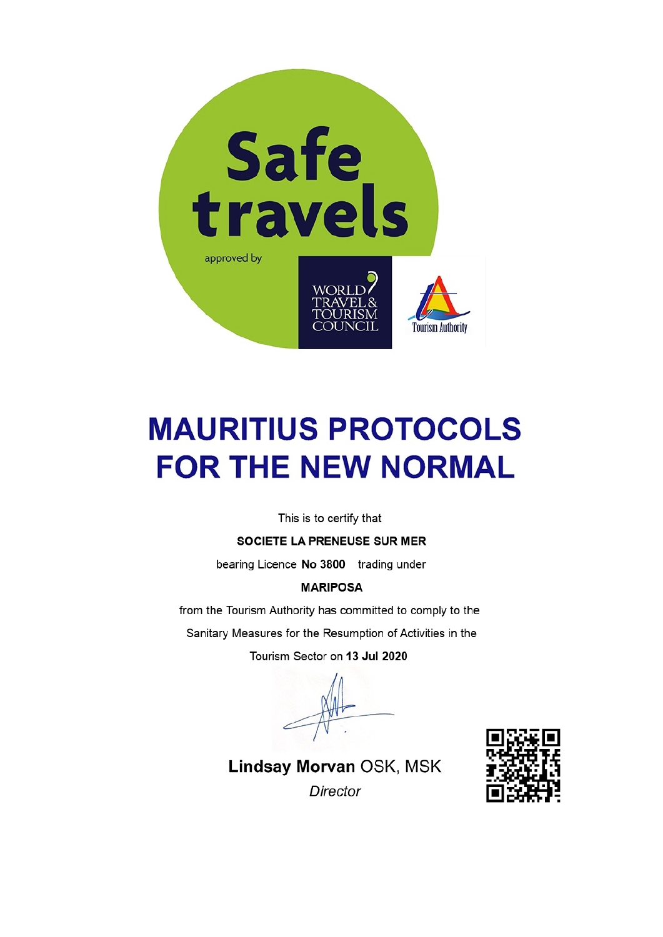

# **MAURITIUS PROTOCOLS FOR THE NEW NORMAL**

This is to certify that

SOCIETE LA PRENEUSE SUR MER

bearing Licence No 3800 trading under

#### **MARIPOSA**

from the Tourism Authority has committed to comply to the

Sanitary Measures for the Resumption of Activities in the

Tourism Sector on 13 Jul 2020



Lindsay Morvan OSK, MSK Director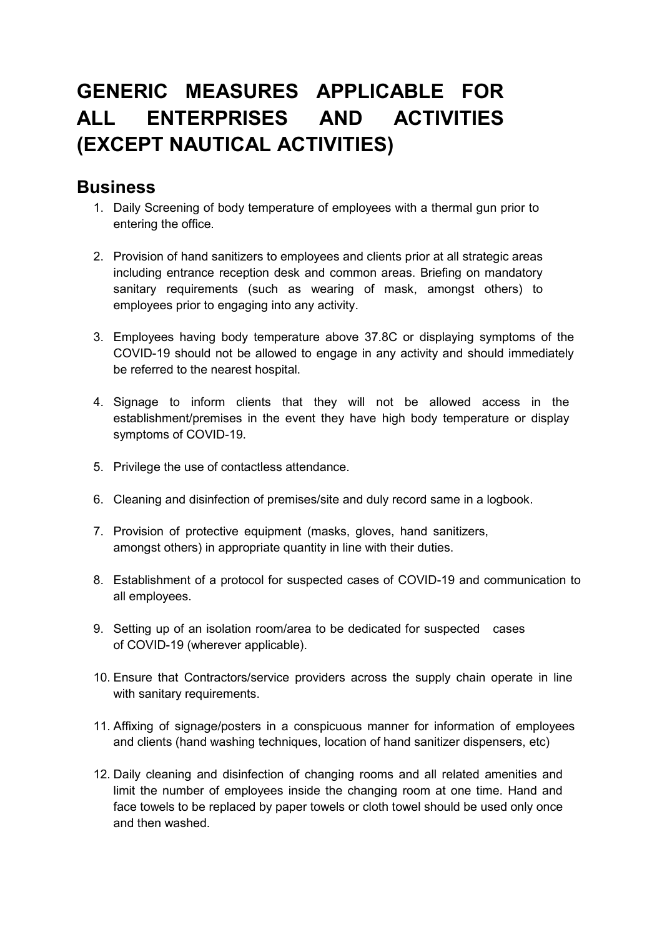## GENERIC MEASURES APPLICABLE FOR ALL ENTERPRISES AND ACTIVITIES (EXCEPT NAUTICAL ACTIVITIES)

#### **Business**

- 1. Daily Screening of body temperature of employees with a thermal gun prior to entering the office.
- 2. Provision of hand sanitizers to employees and clients prior at all strategic areas including entrance reception desk and common areas. Briefing on mandatory sanitary requirements (such as wearing of mask, amongst others) to employees prior to engaging into any activity.
- 3. Employees having body temperature above 37.8C or displaying symptoms of the COVID-19 should not be allowed to engage in any activity and should immediately be referred to the nearest hospital.
- 4. Signage to inform clients that they will not be allowed access in the establishment/premises in the event they have high body temperature or display symptoms of COVID-19.
- 5. Privilege the use of contactless attendance.
- 6. Cleaning and disinfection of premises/site and duly record same in a logbook.
- 7. Provision of protective equipment (masks, gloves, hand sanitizers, amongst others) in appropriate quantity in line with their duties.
- 8. Establishment of a protocol for suspected cases of COVID-19 and communication to all employees.
- 9. Setting up of an isolation room/area to be dedicated for suspected cases of COVID-19 (wherever applicable).
- 10. Ensure that Contractors/service providers across the supply chain operate in line with sanitary requirements.
- 11. Affixing of signage/posters in a conspicuous manner for information of employees and clients (hand washing techniques, location of hand sanitizer dispensers, etc)
- 12. Daily cleaning and disinfection of changing rooms and all related amenities and limit the number of employees inside the changing room at one time. Hand and face towels to be replaced by paper towels or cloth towel should be used only once and then washed.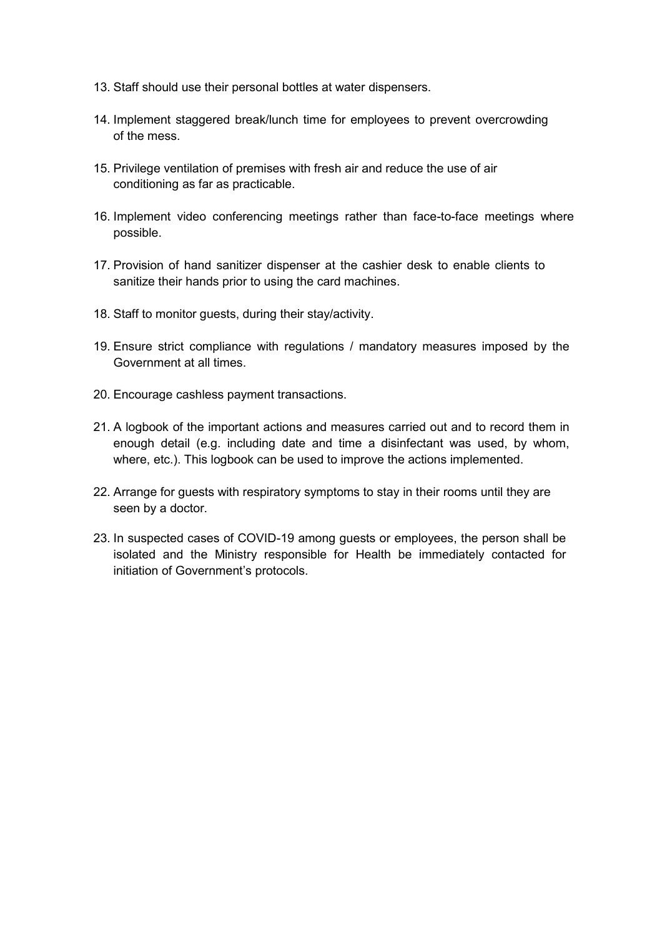- 13. Staff should use their personal bottles at water dispensers.
- 14. Implement staggered break/lunch time for employees to prevent overcrowding of the mess.
- 15. Privilege ventilation of premises with fresh air and reduce the use of air conditioning as far as practicable.
- 16. Implement video conferencing meetings rather than face-to-face meetings where possible.
- 17. Provision of hand sanitizer dispenser at the cashier desk to enable clients to sanitize their hands prior to using the card machines.
- 18. Staff to monitor guests, during their stay/activity.
- 19. Ensure strict compliance with regulations / mandatory measures imposed by the Government at all times.
- 20. Encourage cashless payment transactions.
- 21. A logbook of the important actions and measures carried out and to record them in enough detail (e.g. including date and time a disinfectant was used, by whom, where, etc.). This logbook can be used to improve the actions implemented.
- 22. Arrange for guests with respiratory symptoms to stay in their rooms until they are seen by a doctor.
- 23. In suspected cases of COVID-19 among guests or employees, the person shall be isolated and the Ministry responsible for Health be immediately contacted for initiation of Government's protocols.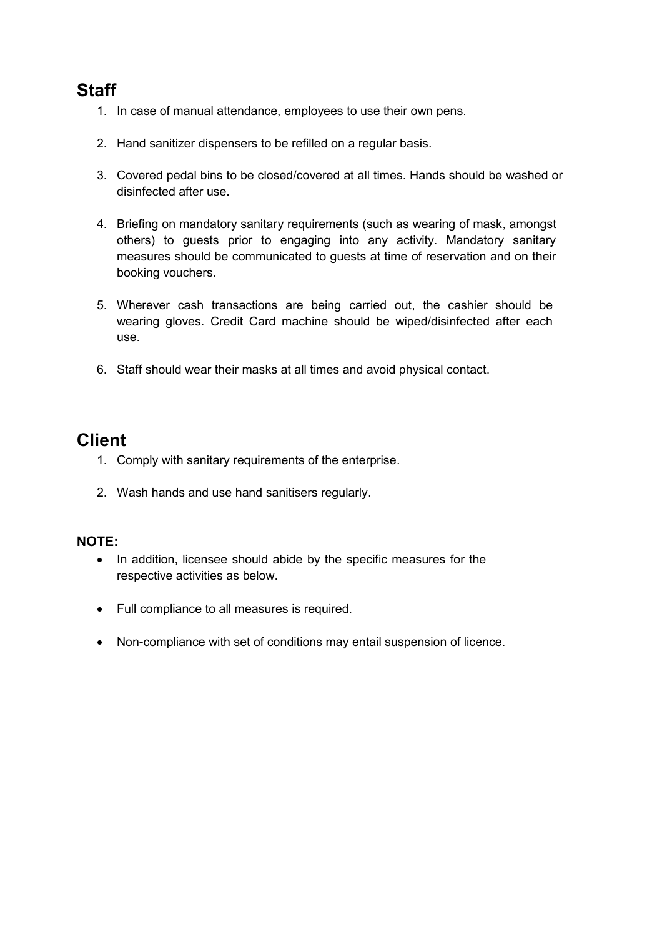## **Staff**

- 1. In case of manual attendance, employees to use their own pens.
- 2. Hand sanitizer dispensers to be refilled on a regular basis.
- 3. Covered pedal bins to be closed/covered at all times. Hands should be washed or disinfected after use.
- 4. Briefing on mandatory sanitary requirements (such as wearing of mask, amongst others) to guests prior to engaging into any activity. Mandatory sanitary measures should be communicated to quests at time of reservation and on their booking vouchers.
- 5. Wherever cash transactions are being carried out, the cashier should be wearing gloves. Credit Card machine should be wiped/disinfected after each use
- 6. Staff should wear their masks at all times and avoid physical contact.

#### **Client**

- 1. Comply with sanitary requirements of the enterprise.
- 2. Wash hands and use hand sanitisers regularly.

#### **NOTE:**

- In addition, licensee should abide by the specific measures for the  $\bullet$ respective activities as below.
- Full compliance to all measures is required.
- Non-compliance with set of conditions may entail suspension of licence.